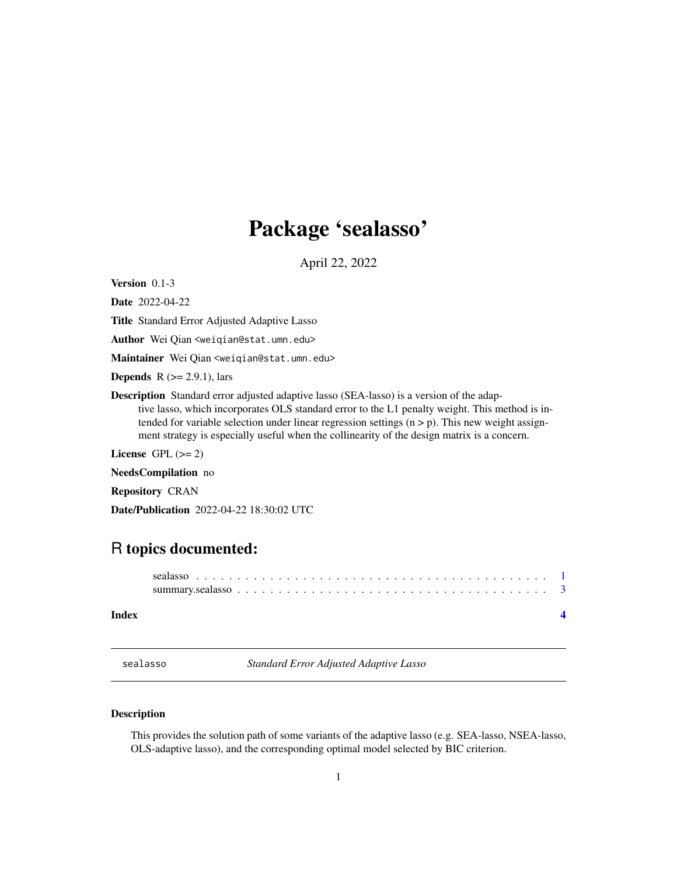## <span id="page-0-0"></span>Package 'sealasso'

April 22, 2022

Version 0.1-3

Date 2022-04-22

Title Standard Error Adjusted Adaptive Lasso

Author Wei Qian <weiqian@stat.umn.edu>

Maintainer Wei Qian <weiqian@stat.umn.edu>

**Depends** R  $(>= 2.9.1)$ , lars

Description Standard error adjusted adaptive lasso (SEA-lasso) is a version of the adap-

tive lasso, which incorporates OLS standard error to the L1 penalty weight. This method is intended for variable selection under linear regression settings  $(n > p)$ . This new weight assignment strategy is especially useful when the collinearity of the design matrix is a concern.

License GPL  $(>= 2)$ 

NeedsCompilation no

Repository CRAN

Date/Publication 2022-04-22 18:30:02 UTC

### R topics documented:

| Index |  |
|-------|--|

sealasso *Standard Error Adjusted Adaptive Lasso*

#### Description

This provides the solution path of some variants of the adaptive lasso (e.g. SEA-lasso, NSEA-lasso, OLS-adaptive lasso), and the corresponding optimal model selected by BIC criterion.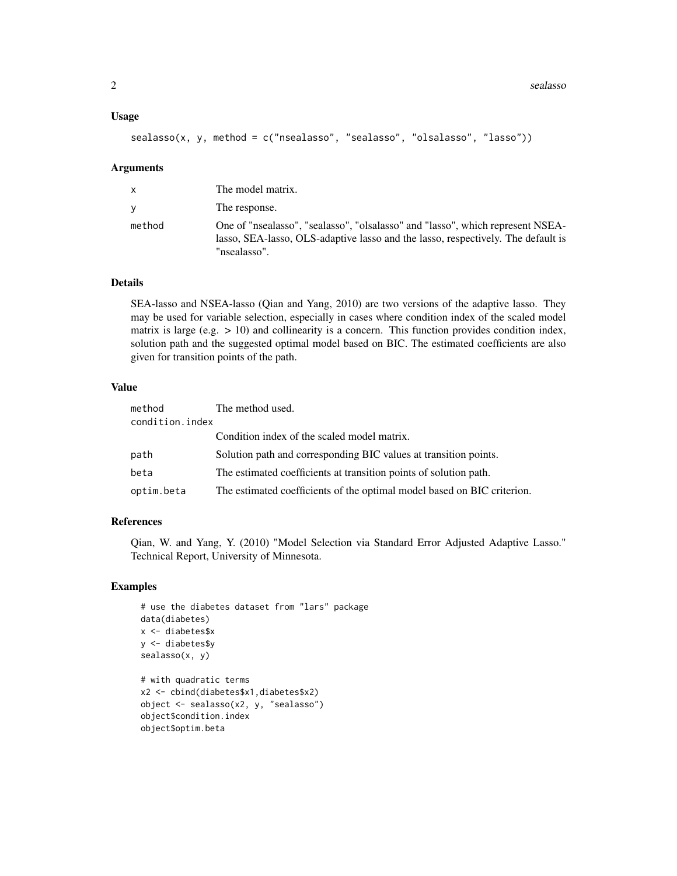#### Usage

```
sealasso(x, y, method = c("nsealasso", "sealasso", "olsalasso", "lasso"))
```
#### Arguments

| X      | The model matrix.                                                                                                                                                                  |
|--------|------------------------------------------------------------------------------------------------------------------------------------------------------------------------------------|
| V      | The response.                                                                                                                                                                      |
| method | One of "nsealasso", "sealasso", "olsalasso" and "lasso", which represent NSEA-<br>lasso, SEA-lasso, OLS-adaptive lasso and the lasso, respectively. The default is<br>"nsealasso". |

#### Details

SEA-lasso and NSEA-lasso (Qian and Yang, 2010) are two versions of the adaptive lasso. They may be used for variable selection, especially in cases where condition index of the scaled model matrix is large (e.g.  $> 10$ ) and collinearity is a concern. This function provides condition index, solution path and the suggested optimal model based on BIC. The estimated coefficients are also given for transition points of the path.

#### Value

| method          | The method used.                                                        |
|-----------------|-------------------------------------------------------------------------|
| condition.index |                                                                         |
|                 | Condition index of the scaled model matrix.                             |
| path            | Solution path and corresponding BIC values at transition points.        |
| beta            | The estimated coefficients at transition points of solution path.       |
| optim.beta      | The estimated coefficients of the optimal model based on BIC criterion. |

#### References

Qian, W. and Yang, Y. (2010) "Model Selection via Standard Error Adjusted Adaptive Lasso." Technical Report, University of Minnesota.

#### Examples

```
# use the diabetes dataset from "lars" package
data(diabetes)
x <- diabetes$x
y <- diabetes$y
sealasso(x, y)
# with quadratic terms
x2 <- cbind(diabetes$x1,diabetes$x2)
object <- sealasso(x2, y, "sealasso")
object$condition.index
object$optim.beta
```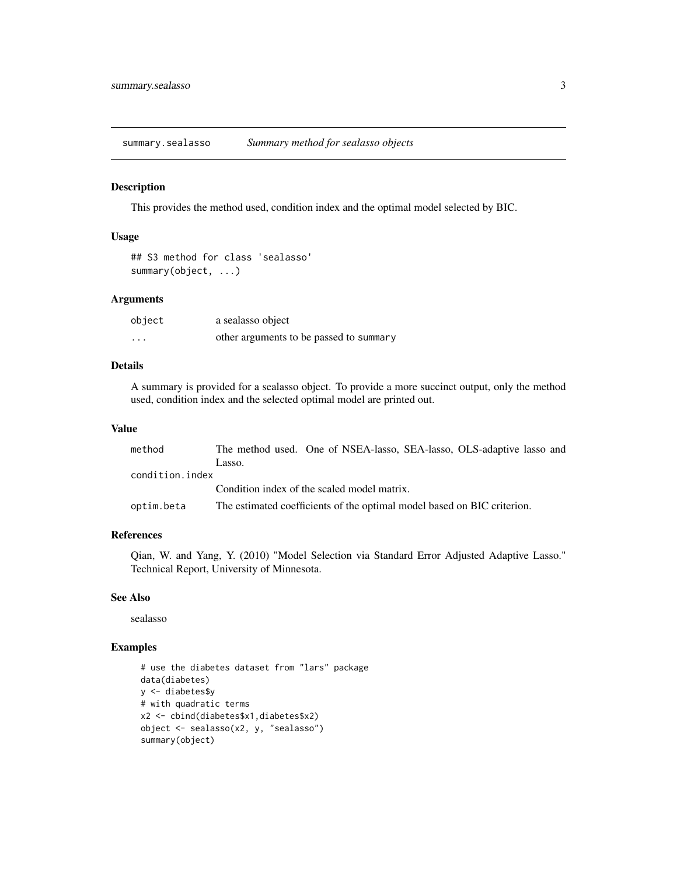<span id="page-2-0"></span>summary.sealasso *Summary method for sealasso objects*

#### Description

This provides the method used, condition index and the optimal model selected by BIC.

#### Usage

```
## S3 method for class 'sealasso'
summary(object, ...)
```
#### Arguments

| object   | a sealasso object                       |
|----------|-----------------------------------------|
| $\cdots$ | other arguments to be passed to summary |

#### Details

A summary is provided for a sealasso object. To provide a more succinct output, only the method used, condition index and the selected optimal model are printed out.

#### Value

| method          | The method used. One of NSEA-lasso, SEA-lasso, OLS-adaptive lasso and   |
|-----------------|-------------------------------------------------------------------------|
|                 | Lasso.                                                                  |
| condition.index |                                                                         |
|                 | Condition index of the scaled model matrix.                             |
| optim.beta      | The estimated coefficients of the optimal model based on BIC criterion. |

#### References

Qian, W. and Yang, Y. (2010) "Model Selection via Standard Error Adjusted Adaptive Lasso." Technical Report, University of Minnesota.

#### See Also

sealasso

#### Examples

```
# use the diabetes dataset from "lars" package
data(diabetes)
y <- diabetes$y
# with quadratic terms
x2 <- cbind(diabetes$x1,diabetes$x2)
object <- sealasso(x2, y, "sealasso")
summary(object)
```